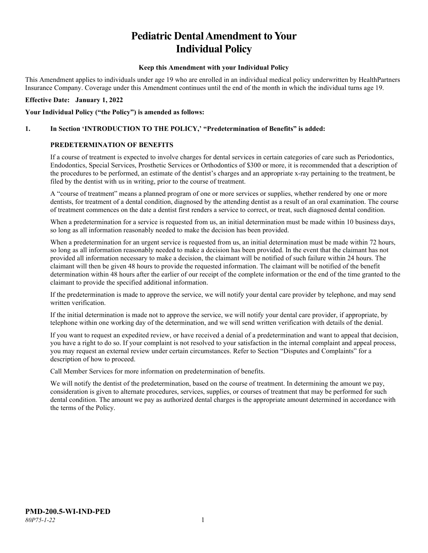# **Pediatric Dental Amendment to Your Individual Policy**

#### **Keep this Amendment with your Individual Policy**

This Amendment applies to individuals under age 19 who are enrolled in an individual medical policy underwritten by HealthPartners Insurance Company. Coverage under this Amendment continues until the end of the month in which the individual turns age 19.

#### **Effective Date: January 1, 2022**

#### **Your Individual Policy ("the Policy") is amended as follows:**

#### **1. In Section 'INTRODUCTION TO THE POLICY,' "Predetermination of Benefits" is added:**

#### **PREDETERMINATION OF BENEFITS**

If a course of treatment is expected to involve charges for dental services in certain categories of care such as Periodontics, Endodontics, Special Services, Prosthetic Services or Orthodontics of \$300 or more, it is recommended that a description of the procedures to be performed, an estimate of the dentist's charges and an appropriate x-ray pertaining to the treatment, be filed by the dentist with us in writing, prior to the course of treatment.

A "course of treatment" means a planned program of one or more services or supplies, whether rendered by one or more dentists, for treatment of a dental condition, diagnosed by the attending dentist as a result of an oral examination. The course of treatment commences on the date a dentist first renders a service to correct, or treat, such diagnosed dental condition.

When a predetermination for a service is requested from us, an initial determination must be made within 10 business days, so long as all information reasonably needed to make the decision has been provided.

When a predetermination for an urgent service is requested from us, an initial determination must be made within 72 hours, so long as all information reasonably needed to make a decision has been provided. In the event that the claimant has not provided all information necessary to make a decision, the claimant will be notified of such failure within 24 hours. The claimant will then be given 48 hours to provide the requested information. The claimant will be notified of the benefit determination within 48 hours after the earlier of our receipt of the complete information or the end of the time granted to the claimant to provide the specified additional information.

If the predetermination is made to approve the service, we will notify your dental care provider by telephone, and may send written verification.

If the initial determination is made not to approve the service, we will notify your dental care provider, if appropriate, by telephone within one working day of the determination, and we will send written verification with details of the denial.

If you want to request an expedited review, or have received a denial of a predetermination and want to appeal that decision, you have a right to do so. If your complaint is not resolved to your satisfaction in the internal complaint and appeal process, you may request an external review under certain circumstances. Refer to Section "Disputes and Complaints" for a description of how to proceed.

Call Member Services for more information on predetermination of benefits.

We will notify the dentist of the predetermination, based on the course of treatment. In determining the amount we pay, consideration is given to alternate procedures, services, supplies, or courses of treatment that may be performed for such dental condition. The amount we pay as authorized dental charges is the appropriate amount determined in accordance with the terms of the Policy.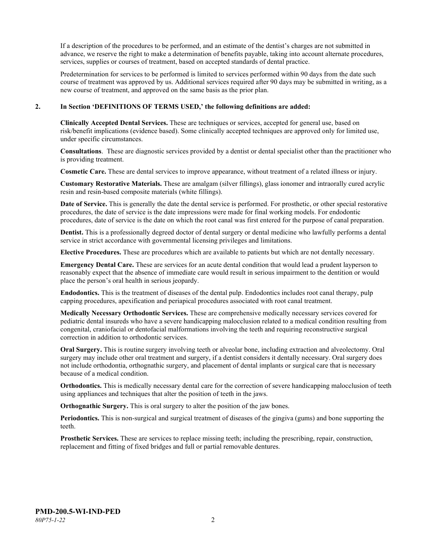If a description of the procedures to be performed, and an estimate of the dentist's charges are not submitted in advance, we reserve the right to make a determination of benefits payable, taking into account alternate procedures, services, supplies or courses of treatment, based on accepted standards of dental practice.

Predetermination for services to be performed is limited to services performed within 90 days from the date such course of treatment was approved by us. Additional services required after 90 days may be submitted in writing, as a new course of treatment, and approved on the same basis as the prior plan.

#### **2. In Section 'DEFINITIONS OF TERMS USED,' the following definitions are added:**

**Clinically Accepted Dental Services.** These are techniques or services, accepted for general use, based on risk/benefit implications (evidence based). Some clinically accepted techniques are approved only for limited use, under specific circumstances.

**Consultations**. These are diagnostic services provided by a dentist or dental specialist other than the practitioner who is providing treatment.

**Cosmetic Care.** These are dental services to improve appearance, without treatment of a related illness or injury.

**Customary Restorative Materials.** These are amalgam (silver fillings), glass ionomer and intraorally cured acrylic resin and resin-based composite materials (white fillings).

**Date of Service.** This is generally the date the dental service is performed. For prosthetic, or other special restorative procedures, the date of service is the date impressions were made for final working models. For endodontic procedures, date of service is the date on which the root canal was first entered for the purpose of canal preparation.

**Dentist.** This is a professionally degreed doctor of dental surgery or dental medicine who lawfully performs a dental service in strict accordance with governmental licensing privileges and limitations.

**Elective Procedures.** These are procedures which are available to patients but which are not dentally necessary.

**Emergency Dental Care.** These are services for an acute dental condition that would lead a prudent layperson to reasonably expect that the absence of immediate care would result in serious impairment to the dentition or would place the person's oral health in serious jeopardy.

**Endodontics.** This is the treatment of diseases of the dental pulp. Endodontics includes root canal therapy, pulp capping procedures, apexification and periapical procedures associated with root canal treatment.

**Medically Necessary Orthodontic Services.** These are comprehensive medically necessary services covered for pediatric dental insureds who have a severe handicapping malocclusion related to a medical condition resulting from congenital, craniofacial or dentofacial malformations involving the teeth and requiring reconstructive surgical correction in addition to orthodontic services.

**Oral Surgery.** This is routine surgery involving teeth or alveolar bone, including extraction and alveolectomy. Oral surgery may include other oral treatment and surgery, if a dentist considers it dentally necessary. Oral surgery does not include orthodontia, orthognathic surgery, and placement of dental implants or surgical care that is necessary because of a medical condition.

**Orthodontics.** This is medically necessary dental care for the correction of severe handicapping malocclusion of teeth using appliances and techniques that alter the position of teeth in the jaws.

**Orthognathic Surgery.** This is oral surgery to alter the position of the jaw bones.

**Periodontics.** This is non-surgical and surgical treatment of diseases of the gingiva (gums) and bone supporting the teeth.

**Prosthetic Services.** These are services to replace missing teeth; including the prescribing, repair, construction, replacement and fitting of fixed bridges and full or partial removable dentures.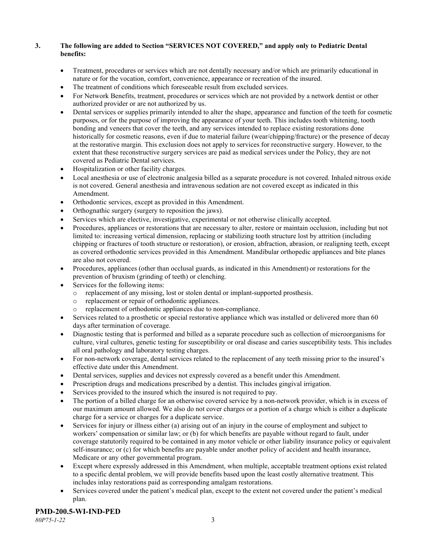## **3. The following are added to Section "SERVICES NOT COVERED," and apply only to Pediatric Dental benefits:**

- Treatment, procedures or services which are not dentally necessary and/or which are primarily educational in nature or for the vocation, comfort, convenience, appearance or recreation of the insured.
- The treatment of conditions which foreseeable result from excluded services.
- For Network Benefits, treatment, procedures or services which are not provided by a network dentist or other authorized provider or are not authorized by us.
- Dental services or supplies primarily intended to alter the shape, appearance and function of the teeth for cosmetic purposes, or for the purpose of improving the appearance of your teeth. This includes tooth whitening, tooth bonding and veneers that cover the teeth, and any services intended to replace existing restorations done historically for cosmetic reasons, even if due to material failure (wear/chipping/fracture) or the presence of decay at the restorative margin. This exclusion does not apply to services for reconstructive surgery. However, to the extent that these reconstructive surgery services are paid as medical services under the Policy, they are not covered as Pediatric Dental services.
- Hospitalization or other facility charges.
- Local anesthesia or use of electronic analgesia billed as a separate procedure is not covered. Inhaled nitrous oxide is not covered. General anesthesia and intravenous sedation are not covered except as indicated in this Amendment.
- Orthodontic services, except as provided in this Amendment.
- Orthognathic surgery (surgery to reposition the jaws).
- Services which are elective, investigative, experimental or not otherwise clinically accepted.
- Procedures, appliances or restorations that are necessary to alter, restore or maintain occlusion, including but not limited to: increasing vertical dimension, replacing or stabilizing tooth structure lost by attrition (including chipping or fractures of tooth structure or restoration), or erosion, abfraction, abrasion, or realigning teeth, except as covered orthodontic services provided in this Amendment. Mandibular orthopedic appliances and bite planes are also not covered.
- Procedures, appliances (other than occlusal guards, as indicated in this Amendment) or restorations for the prevention of bruxism (grinding of teeth) or clenching.
- Services for the following items:
	- o replacement of any missing, lost or stolen dental or implant-supported prosthesis.
	- replacement or repair of orthodontic appliances.
	- replacement of orthodontic appliances due to non-compliance.
- Services related to a prosthetic or special restorative appliance which was installed or delivered more than 60 days after termination of coverage.
- Diagnostic testing that is performed and billed as a separate procedure such as collection of microorganisms for culture, viral cultures, genetic testing for susceptibility or oral disease and caries susceptibility tests. This includes all oral pathology and laboratory testing charges.
- For non-network coverage, dental services related to the replacement of any teeth missing prior to the insured's effective date under this Amendment.
- Dental services, supplies and devices not expressly covered as a benefit under this Amendment.
- Prescription drugs and medications prescribed by a dentist. This includes gingival irrigation.
- Services provided to the insured which the insured is not required to pay.
- The portion of a billed charge for an otherwise covered service by a non-network provider, which is in excess of our maximum amount allowed. We also do not cover charges or a portion of a charge which is either a duplicate charge for a service or charges for a duplicate service.
- Services for injury or illness either (a) arising out of an injury in the course of employment and subject to workers' compensation or similar law; or (b) for which benefits are payable without regard to fault, under coverage statutorily required to be contained in any motor vehicle or other liability insurance policy or equivalent self-insurance; or (c) for which benefits are payable under another policy of accident and health insurance, Medicare or any other governmental program.
- Except where expressly addressed in this Amendment, when multiple, acceptable treatment options exist related to a specific dental problem, we will provide benefits based upon the least costly alternative treatment. This includes inlay restorations paid as corresponding amalgam restorations.
- Services covered under the patient's medical plan, except to the extent not covered under the patient's medical plan.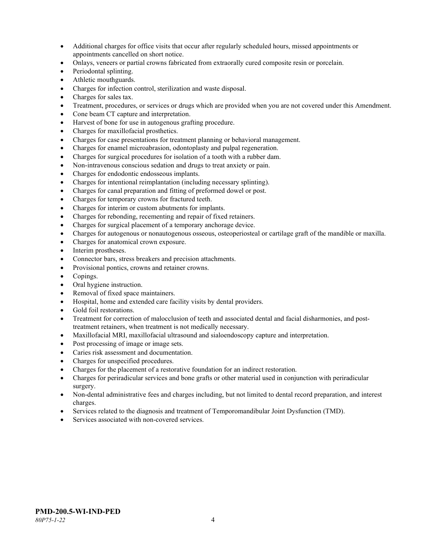- Additional charges for office visits that occur after regularly scheduled hours, missed appointments or appointments cancelled on short notice.
- Onlays, veneers or partial crowns fabricated from extraorally cured composite resin or porcelain.
- Periodontal splinting.
- Athletic mouthguards.
- Charges for infection control, sterilization and waste disposal.
- Charges for sales tax.
- Treatment, procedures, or services or drugs which are provided when you are not covered under this Amendment.
- Cone beam CT capture and interpretation.
- Harvest of bone for use in autogenous grafting procedure.
- Charges for maxillofacial prosthetics.
- Charges for case presentations for treatment planning or behavioral management.
- Charges for enamel microabrasion, odontoplasty and pulpal regeneration.
- Charges for surgical procedures for isolation of a tooth with a rubber dam.
- Non-intravenous conscious sedation and drugs to treat anxiety or pain.
- Charges for endodontic endosseous implants.
- Charges for intentional reimplantation (including necessary splinting).
- Charges for canal preparation and fitting of preformed dowel or post.
- Charges for temporary crowns for fractured teeth.
- Charges for interim or custom abutments for implants.
- Charges for rebonding, recementing and repair of fixed retainers.
- Charges for surgical placement of a temporary anchorage device.
- Charges for autogenous or nonautogenous osseous, osteoperiosteal or cartilage graft of the mandible or maxilla.
- Charges for anatomical crown exposure.
- Interim prostheses.
- Connector bars, stress breakers and precision attachments.
- Provisional pontics, crowns and retainer crowns.
- Copings.
- Oral hygiene instruction.
- Removal of fixed space maintainers.
- Hospital, home and extended care facility visits by dental providers.
- Gold foil restorations.
- Treatment for correction of malocclusion of teeth and associated dental and facial disharmonies, and posttreatment retainers, when treatment is not medically necessary.
- Maxillofacial MRI, maxillofacial ultrasound and sialoendoscopy capture and interpretation.
- Post processing of image or image sets.
- Caries risk assessment and documentation.
- Charges for unspecified procedures.
- Charges for the placement of a restorative foundation for an indirect restoration.
- Charges for periradicular services and bone grafts or other material used in conjunction with periradicular surgery.
- Non-dental administrative fees and charges including, but not limited to dental record preparation, and interest charges.
- Services related to the diagnosis and treatment of Temporomandibular Joint Dysfunction (TMD).
- Services associated with non-covered services.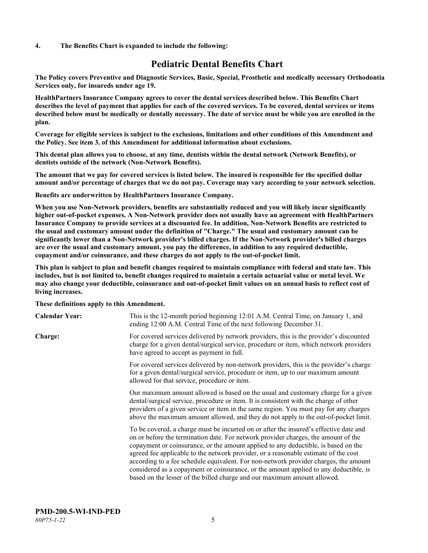#### **4. The Benefits Chart is expanded to include the following:**

# **Pediatric Dental Benefits Chart**

**The Policy covers Preventive and Diagnostic Services, Basic, Special, Prosthetic and medically necessary Orthodontia Services only, for insureds under age 19.**

**HealthPartners Insurance Company agrees to cover the dental services described below. This Benefits Chart describes the level of payment that applies for each of the covered services. To be covered, dental services or items described below must be medically or dentally necessary. The date of service must be while you are enrolled in the plan.**

**Coverage for eligible services is subject to the exclusions, limitations and other conditions of this Amendment and the Policy. See item 3. of this Amendment for additional information about exclusions.**

**This dental plan allows you to choose, at any time, dentists within the dental network (Network Benefits), or dentists outside of the network (Non-Network Benefits).**

**The amount that we pay for covered services is listed below. The insured is responsible for the specified dollar amount and/or percentage of charges that we do not pay. Coverage may vary according to your network selection.**

**Benefits are underwritten by HealthPartners Insurance Company.**

**When you use Non-Network providers, benefits are substantially reduced and you will likely incur significantly higher out-of-pocket expenses. A Non-Network provider does not usually have an agreement with HealthPartners Insurance Company to provide services at a discounted fee. In addition, Non-Network Benefits are restricted to the usual and customary amount under the definition of "Charge." The usual and customary amount can be significantly lower than a Non-Network provider's billed charges. If the Non-Network provider's billed charges are over the usual and customary amount, you pay the difference, in addition to any required deductible, copayment and/or coinsurance, and these charges do not apply to the out-of-pocket limit.**

**This plan is subject to plan and benefit changes required to maintain compliance with federal and state law. This includes, but is not limited to, benefit changes required to maintain a certain actuarial value or metal level. We may also change your deductible, coinsurance and out-of-pocket limit values on an annual basis to reflect cost of living increases.**

#### **These definitions apply to this Amendment.**

| <b>Calendar Year:</b> | This is the 12-month period beginning 12:01 A.M. Central Time, on January 1, and<br>ending 12:00 A.M. Central Time of the next following December 31.                                                                                                                                                                                                                                                                                                                                                                                                                                                                 |
|-----------------------|-----------------------------------------------------------------------------------------------------------------------------------------------------------------------------------------------------------------------------------------------------------------------------------------------------------------------------------------------------------------------------------------------------------------------------------------------------------------------------------------------------------------------------------------------------------------------------------------------------------------------|
| <b>Charge:</b>        | For covered services delivered by network providers, this is the provider's discounted<br>charge for a given dental/surgical service, procedure or item, which network providers<br>have agreed to accept as payment in full.                                                                                                                                                                                                                                                                                                                                                                                         |
|                       | For covered services delivered by non-network providers, this is the provider's charge<br>for a given dental/surgical service, procedure or item, up to our maximum amount<br>allowed for that service, procedure or item.                                                                                                                                                                                                                                                                                                                                                                                            |
|                       | Our maximum amount allowed is based on the usual and customary charge for a given<br>dental/surgical service, procedure or item. It is consistent with the charge of other<br>providers of a given service or item in the same region. You must pay for any charges<br>above the maximum amount allowed, and they do not apply to the out-of-pocket limit.                                                                                                                                                                                                                                                            |
|                       | To be covered, a charge must be incurred on or after the insured's effective date and<br>on or before the termination date. For network provider charges, the amount of the<br>copayment or coinsurance, or the amount applied to any deductible, is based on the<br>agreed fee applicable to the network provider, or a reasonable estimate of the cost<br>according to a fee schedule equivalent. For non-network provider charges, the amount<br>considered as a copayment or coinsurance, or the amount applied to any deductible, is<br>based on the lesser of the billed charge and our maximum amount allowed. |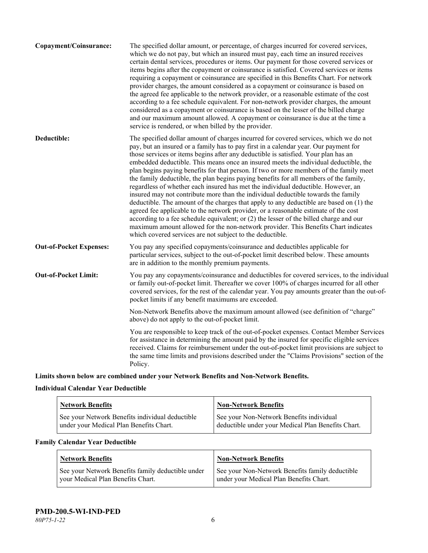| Copayment/Coinsurance:         | The specified dollar amount, or percentage, of charges incurred for covered services,<br>which we do not pay, but which an insured must pay, each time an insured receives<br>certain dental services, procedures or items. Our payment for those covered services or<br>items begins after the copayment or coinsurance is satisfied. Covered services or items<br>requiring a copayment or coinsurance are specified in this Benefits Chart. For network<br>provider charges, the amount considered as a copayment or coinsurance is based on<br>the agreed fee applicable to the network provider, or a reasonable estimate of the cost<br>according to a fee schedule equivalent. For non-network provider charges, the amount<br>considered as a copayment or coinsurance is based on the lesser of the billed charge<br>and our maximum amount allowed. A copayment or coinsurance is due at the time a<br>service is rendered, or when billed by the provider.                                                                                                                                                                                   |
|--------------------------------|---------------------------------------------------------------------------------------------------------------------------------------------------------------------------------------------------------------------------------------------------------------------------------------------------------------------------------------------------------------------------------------------------------------------------------------------------------------------------------------------------------------------------------------------------------------------------------------------------------------------------------------------------------------------------------------------------------------------------------------------------------------------------------------------------------------------------------------------------------------------------------------------------------------------------------------------------------------------------------------------------------------------------------------------------------------------------------------------------------------------------------------------------------|
| Deductible:                    | The specified dollar amount of charges incurred for covered services, which we do not<br>pay, but an insured or a family has to pay first in a calendar year. Our payment for<br>those services or items begins after any deductible is satisfied. Your plan has an<br>embedded deductible. This means once an insured meets the individual deductible, the<br>plan begins paying benefits for that person. If two or more members of the family meet<br>the family deductible, the plan begins paying benefits for all members of the family,<br>regardless of whether each insured has met the individual deductible. However, an<br>insured may not contribute more than the individual deductible towards the family<br>deductible. The amount of the charges that apply to any deductible are based on (1) the<br>agreed fee applicable to the network provider, or a reasonable estimate of the cost<br>according to a fee schedule equivalent; or (2) the lesser of the billed charge and our<br>maximum amount allowed for the non-network provider. This Benefits Chart indicates<br>which covered services are not subject to the deductible. |
| <b>Out-of-Pocket Expenses:</b> | You pay any specified copayments/coinsurance and deductibles applicable for<br>particular services, subject to the out-of-pocket limit described below. These amounts<br>are in addition to the monthly premium payments.                                                                                                                                                                                                                                                                                                                                                                                                                                                                                                                                                                                                                                                                                                                                                                                                                                                                                                                               |
| <b>Out-of-Pocket Limit:</b>    | You pay any copayments/coinsurance and deductibles for covered services, to the individual<br>or family out-of-pocket limit. Thereafter we cover 100% of charges incurred for all other<br>covered services, for the rest of the calendar year. You pay amounts greater than the out-of-<br>pocket limits if any benefit maximums are exceeded.                                                                                                                                                                                                                                                                                                                                                                                                                                                                                                                                                                                                                                                                                                                                                                                                         |
|                                | Non-Network Benefits above the maximum amount allowed (see definition of "charge"<br>above) do not apply to the out-of-pocket limit.                                                                                                                                                                                                                                                                                                                                                                                                                                                                                                                                                                                                                                                                                                                                                                                                                                                                                                                                                                                                                    |
|                                | You are responsible to keep track of the out-of-pocket expenses. Contact Member Services<br>for assistance in determining the amount paid by the insured for specific eligible services<br>received. Claims for reimbursement under the out-of-pocket limit provisions are subject to<br>the same time limits and provisions described under the "Claims Provisions" section of the<br>Policy.                                                                                                                                                                                                                                                                                                                                                                                                                                                                                                                                                                                                                                                                                                                                                          |
|                                |                                                                                                                                                                                                                                                                                                                                                                                                                                                                                                                                                                                                                                                                                                                                                                                                                                                                                                                                                                                                                                                                                                                                                         |

**Limits shown below are combined under your Network Benefits and Non-Network Benefits.**

# **Individual Calendar Year Deductible**

| <b>Network Benefits</b> |                                                                                            | Non-Network Benefits                                                                           |
|-------------------------|--------------------------------------------------------------------------------------------|------------------------------------------------------------------------------------------------|
|                         | See your Network Benefits individual deductible<br>under your Medical Plan Benefits Chart. | See your Non-Network Benefits individual<br>deductible under your Medical Plan Benefits Chart. |

# **Family Calendar Year Deductible**

| Network Benefits                                                                       | <b>Non-Network Benefits</b>                                                                |
|----------------------------------------------------------------------------------------|--------------------------------------------------------------------------------------------|
| See your Network Benefits family deductible under<br>vour Medical Plan Benefits Chart. | See your Non-Network Benefits family deductible<br>under your Medical Plan Benefits Chart. |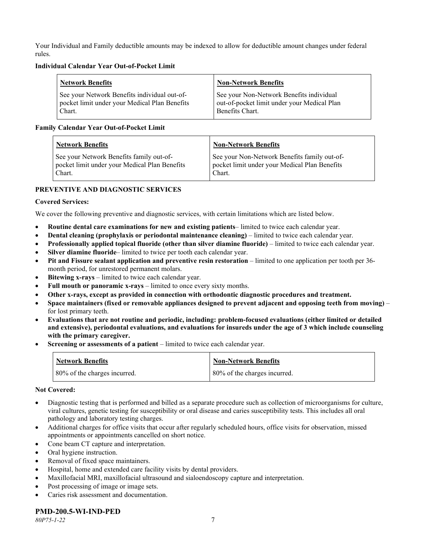Your Individual and Family deductible amounts may be indexed to allow for deductible amount changes under federal rules.

#### **Individual Calendar Year Out-of-Pocket Limit**

| Network Benefits                              | <b>Non-Network Benefits</b>                 |
|-----------------------------------------------|---------------------------------------------|
| See your Network Benefits individual out-of-  | See your Non-Network Benefits individual    |
| pocket limit under your Medical Plan Benefits | out-of-pocket limit under your Medical Plan |
| Chart.                                        | Benefits Chart.                             |

### **Family Calendar Year Out-of-Pocket Limit**

| <b>Network Benefits</b>                       | <b>Non-Network Benefits</b>                   |
|-----------------------------------------------|-----------------------------------------------|
| See your Network Benefits family out-of-      | See your Non-Network Benefits family out-of-  |
| pocket limit under your Medical Plan Benefits | pocket limit under your Medical Plan Benefits |
| Chart.                                        | Chart.                                        |

# **PREVENTIVE AND DIAGNOSTIC SERVICES**

### **Covered Services:**

We cover the following preventive and diagnostic services, with certain limitations which are listed below.

- **Routine dental care examinations for new and existing patients** limited to twice each calendar year.
- **Dental cleaning (prophylaxis or periodontal maintenance cleaning)** limited to twice each calendar year.
- **Professionally applied topical fluoride (other than silver diamine fluoride)** limited to twice each calendar year.
- **Silver diamine fluoride** limited to twice per tooth each calendar year.
- **Pit and Fissure sealant application and preventive resin restoration** limited to one application per tooth per 36 month period, for unrestored permanent molars.
- **Bitewing x-rays** limited to twice each calendar year.
- **Full mouth or panoramic x-rays** limited to once every sixty months.
- **Other x-rays, except as provided in connection with orthodontic diagnostic procedures and treatment.**
- **Space maintainers (fixed or removable appliances designed to prevent adjacent and opposing teeth from moving)** for lost primary teeth.
- **Evaluations that are not routine and periodic, including: problem-focused evaluations (either limited or detailed and extensive), periodontal evaluations, and evaluations for insureds under the age of 3 which include counseling with the primary caregiver.**
- **Screening or assessments of a patient** limited to twice each calendar year.

| <b>Network Benefits</b>      | <b>Non-Network Benefits</b>  |
|------------------------------|------------------------------|
| 80% of the charges incurred. | 80% of the charges incurred. |

#### **Not Covered:**

- Diagnostic testing that is performed and billed as a separate procedure such as collection of microorganisms for culture, viral cultures, genetic testing for susceptibility or oral disease and caries susceptibility tests. This includes all oral pathology and laboratory testing charges.
- Additional charges for office visits that occur after regularly scheduled hours, office visits for observation, missed appointments or appointments cancelled on short notice.
- Cone beam CT capture and interpretation.
- Oral hygiene instruction.
- Removal of fixed space maintainers.
- Hospital, home and extended care facility visits by dental providers.
- Maxillofacial MRI, maxillofacial ultrasound and sialoendoscopy capture and interpretation.
- Post processing of image or image sets.
- Caries risk assessment and documentation.

# **PMD-200.5-WI-IND-PED**

*80P75-1-22* 7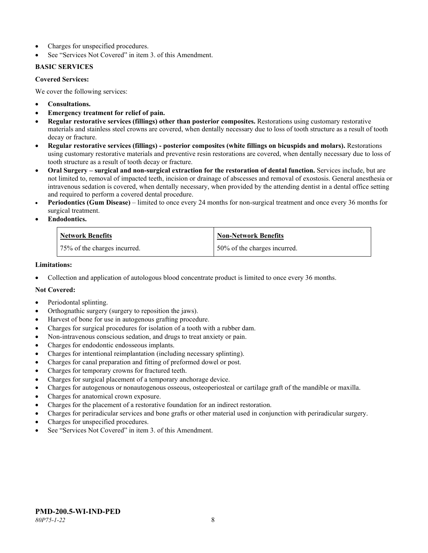- Charges for unspecified procedures.
- See "Services Not Covered" in item 3. of this Amendment.

### **BASIC SERVICES**

#### **Covered Services:**

We cover the following services:

- **Consultations.**
- **Emergency treatment for relief of pain.**
- **Regular restorative services (fillings) other than posterior composites.** Restorations using customary restorative materials and stainless steel crowns are covered, when dentally necessary due to loss of tooth structure as a result of tooth decay or fracture.
- **Regular restorative services (fillings) - posterior composites (white fillings on bicuspids and molars).** Restorations using customary restorative materials and preventive resin restorations are covered, when dentally necessary due to loss of tooth structure as a result of tooth decay or fracture.
- **Oral Surgery – surgical and non-surgical extraction for the restoration of dental function.** Services include, but are not limited to, removal of impacted teeth, incision or drainage of abscesses and removal of exostosis. General anesthesia or intravenous sedation is covered, when dentally necessary, when provided by the attending dentist in a dental office setting and required to perform a covered dental procedure.
- **Periodontics (Gum Disease)** limited to once every 24 months for non-surgical treatment and once every 36 months for surgical treatment.
- **Endodontics.**

| <b>Network Benefits</b>      | <b>Non-Network Benefits</b>  |
|------------------------------|------------------------------|
| 75% of the charges incurred. | 50% of the charges incurred. |

#### **Limitations:**

• Collection and application of autologous blood concentrate product is limited to once every 36 months.

# **Not Covered:**

- Periodontal splinting.
- Orthognathic surgery (surgery to reposition the jaws).
- Harvest of bone for use in autogenous grafting procedure.
- Charges for surgical procedures for isolation of a tooth with a rubber dam.
- Non-intravenous conscious sedation, and drugs to treat anxiety or pain.
- Charges for endodontic endosseous implants.
- Charges for intentional reimplantation (including necessary splinting).
- Charges for canal preparation and fitting of preformed dowel or post.
- Charges for temporary crowns for fractured teeth.
- Charges for surgical placement of a temporary anchorage device.
- Charges for autogenous or nonautogenous osseous, osteoperiosteal or cartilage graft of the mandible or maxilla.
- Charges for anatomical crown exposure.
- Charges for the placement of a restorative foundation for an indirect restoration.
- Charges for periradicular services and bone grafts or other material used in conjunction with periradicular surgery.
- Charges for unspecified procedures.
- See "Services Not Covered" in item 3. of this Amendment.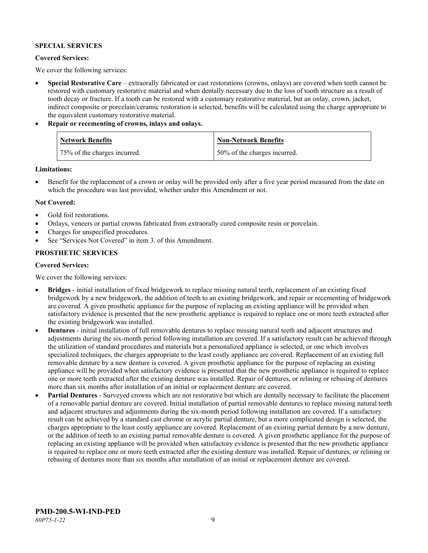### **SPECIAL SERVICES**

#### **Covered Services:**

We cover the following services:

- **Special Restorative Care** extraorally fabricated or cast restorations (crowns, onlays) are covered when teeth cannot be restored with customary restorative material and when dentally necessary due to the loss of tooth structure as a result of tooth decay or fracture. If a tooth can be restored with a customary restorative material, but an onlay, crown, jacket, indirect composite or porcelain/ceramic restoration is selected, benefits will be calculated using the charge appropriate to the equivalent customary restorative material.
- **Repair or recementing of crowns, inlays and onlays.**

| <b>Network Benefits</b>      | <b>Non-Network Benefits</b>  |
|------------------------------|------------------------------|
| 75% of the charges incurred. | 50% of the charges incurred. |

**Limitations:**

• Benefit for the replacement of a crown or onlay will be provided only after a five year period measured from the date on which the procedure was last provided, whether under this Amendment or not.

### **Not Covered:**

- Gold foil restorations.
- Onlays, veneers or partial crowns fabricated from extraorally cured composite resin or porcelain.
- Charges for unspecified procedures.
- See "Services Not Covered" in item 3. of this Amendment.

# **PROSTHETIC SERVICES**

#### **Covered Services:**

We cover the following services:

- **Bridges** initial installation of fixed bridgework to replace missing natural teeth, replacement of an existing fixed bridgework by a new bridgework, the addition of teeth to an existing bridgework, and repair or recementing of bridgework are covered. A given prosthetic appliance for the purpose of replacing an existing appliance will be provided when satisfactory evidence is presented that the new prosthetic appliance is required to replace one or more teeth extracted after the existing bridgework was installed.
- **Dentures** initial installation of full removable dentures to replace missing natural teeth and adjacent structures and adjustments during the six-month period following installation are covered. If a satisfactory result can be achieved through the utilization of standard procedures and materials but a personalized appliance is selected, or one which involves specialized techniques, the charges appropriate to the least costly appliance are covered. Replacement of an existing full removable denture by a new denture is covered. A given prosthetic appliance for the purpose of replacing an existing appliance will be provided when satisfactory evidence is presented that the new prosthetic appliance is required to replace one or more teeth extracted after the existing denture was installed. Repair of dentures, or relining or rebasing of dentures more than six months after installation of an initial or replacement denture are covered.
- **Partial Dentures** Surveyed crowns which are not restorative but which are dentally necessary to facilitate the placement of a removable partial denture are covered. Initial installation of partial removable dentures to replace missing natural teeth and adjacent structures and adjustments during the six-month period following installation are covered. If a satisfactory result can be achieved by a standard cast chrome or acrylic partial denture, but a more complicated design is selected, the charges appropriate to the least costly appliance are covered. Replacement of an existing partial denture by a new denture, or the addition of teeth to an existing partial removable denture is covered. A given prosthetic appliance for the purpose of replacing an existing appliance will be provided when satisfactory evidence is presented that the new prosthetic appliance is required to replace one or more teeth extracted after the existing denture was installed. Repair of dentures, or relining or rebasing of dentures more than six months after installation of an initial or replacement denture are covered.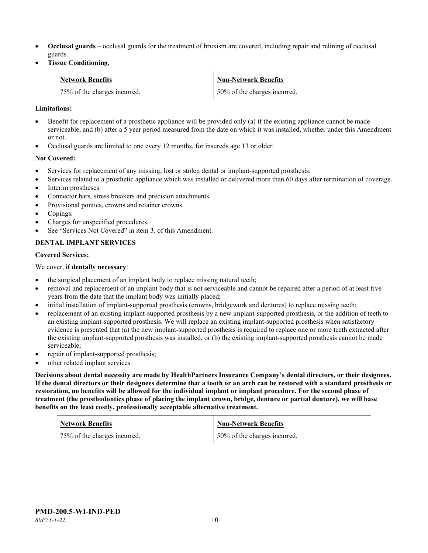- **Occlusal guards** occlusal guards for the treatment of bruxism are covered, including repair and relining of occlusal guards.
- **Tissue Conditioning.**

| <b>Network Benefits</b>      | <b>Non-Network Benefits</b>  |
|------------------------------|------------------------------|
| 75% of the charges incurred. | 50% of the charges incurred. |

#### **Limitations:**

- Benefit for replacement of a prosthetic appliance will be provided only (a) if the existing appliance cannot be made serviceable, and (b) after a 5 year period measured from the date on which it was installed, whether under this Amendment or not.
- Occlusal guards are limited to one every 12 months, for insureds age 13 or older.

### **Not Covered:**

- Services for replacement of any missing, lost or stolen dental or implant-supported prosthesis.
- Services related to a prosthetic appliance which was installed or delivered more than 60 days after termination of coverage. Interim prostheses.
- Connector bars, stress breakers and precision attachments.
- Provisional pontics, crowns and retainer crowns.
- Copings.
- Charges for unspecified procedures.
- See "Services Not Covered" in item 3. of this Amendment.

# **DENTAL IMPLANT SERVICES**

#### **Covered Services:**

We cover, **if dentally necessary**:

- the surgical placement of an implant body to replace missing natural teeth;
- removal and replacement of an implant body that is not serviceable and cannot be repaired after a period of at least five years from the date that the implant body was initially placed;
- initial installation of implant-supported prosthesis (crowns, bridgework and dentures) to replace missing teeth;
- replacement of an existing implant-supported prosthesis by a new implant-supported prosthesis, or the addition of teeth to an existing implant-supported prosthesis. We will replace an existing implant-supported prosthesis when satisfactory evidence is presented that (a) the new implant-supported prosthesis is required to replace one or more teeth extracted after the existing implant-supported prosthesis was installed, or (b) the existing implant-supported prosthesis cannot be made serviceable;
- repair of implant-supported prosthesis;
- other related implant services.

**Decisions about dental necessity are made by HealthPartners Insurance Company's dental directors, or their designees. If the dental directors or their designees determine that a tooth or an arch can be restored with a standard prosthesis or restoration, no benefits will be allowed for the individual implant or implant procedure. For the second phase of treatment (the prosthodontics phase of placing the implant crown, bridge, denture or partial denture), we will base benefits on the least costly, professionally acceptable alternative treatment.**

| <b>Network Benefits</b>      | <b>Non-Network Benefits</b>  |
|------------------------------|------------------------------|
| 75% of the charges incurred. | 50% of the charges incurred. |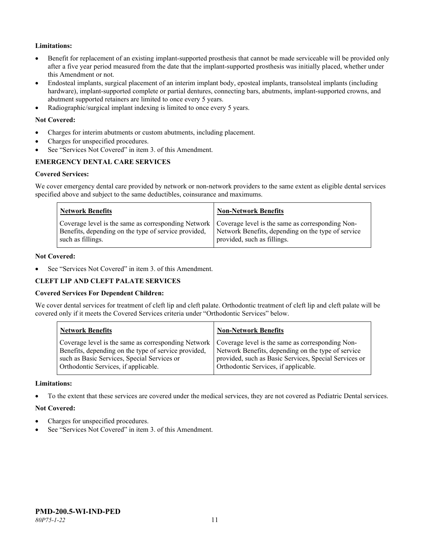# **Limitations:**

- Benefit for replacement of an existing implant-supported prosthesis that cannot be made serviceable will be provided only after a five year period measured from the date that the implant-supported prosthesis was initially placed, whether under this Amendment or not.
- Endosteal implants, surgical placement of an interim implant body, eposteal implants, transolsteal implants (including hardware), implant-supported complete or partial dentures, connecting bars, abutments, implant-supported crowns, and abutment supported retainers are limited to once every 5 years.
- Radiographic/surgical implant indexing is limited to once every 5 years.

#### **Not Covered:**

- Charges for interim abutments or custom abutments, including placement.
- Charges for unspecified procedures.
- See "Services Not Covered" in item 3, of this Amendment.

# **EMERGENCY DENTAL CARE SERVICES**

#### **Covered Services:**

We cover emergency dental care provided by network or non-network providers to the same extent as eligible dental services specified above and subject to the same deductibles, coinsurance and maximums.

| <b>Network Benefits</b>                                                                                                                                                             | <b>Non-Network Benefits</b>                                                       |
|-------------------------------------------------------------------------------------------------------------------------------------------------------------------------------------|-----------------------------------------------------------------------------------|
| Coverage level is the same as corresponding Network   Coverage level is the same as corresponding Non-<br>Benefits, depending on the type of service provided,<br>such as fillings. | Network Benefits, depending on the type of service<br>provided, such as fillings. |

#### **Not Covered:**

See "Services Not Covered" in item 3. of this Amendment.

#### **CLEFT LIP AND CLEFT PALATE SERVICES**

#### **Covered Services For Dependent Children:**

We cover dental services for treatment of cleft lip and cleft palate. Orthodontic treatment of cleft lip and cleft palate will be covered only if it meets the Covered Services criteria under "Orthodontic Services" below.

| <b>Network Benefits</b>                              | <b>Non-Network Benefits</b>                           |
|------------------------------------------------------|-------------------------------------------------------|
| Coverage level is the same as corresponding Network  | Coverage level is the same as corresponding Non-      |
| Benefits, depending on the type of service provided, | Network Benefits, depending on the type of service    |
| such as Basic Services, Special Services or          | provided, such as Basic Services, Special Services or |
| Orthodontic Services, if applicable.                 | Orthodontic Services, if applicable.                  |

#### **Limitations:**

• To the extent that these services are covered under the medical services, they are not covered as Pediatric Dental services.

#### **Not Covered:**

- Charges for unspecified procedures.
- See "Services Not Covered" in item 3. of this Amendment.